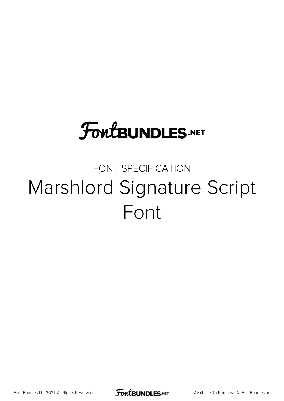# **FoutBUNDLES.NET**

## FONT SPECIFICATION Marshlord Signature Script Font

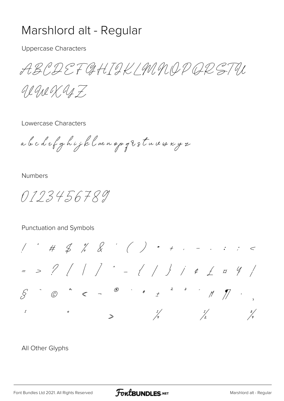## Marshlord alt - Regular

**Uppercase Characters** 

ABCDEFGHTOK/MMODQRETU

gegner, as F.

Lowercase Characters

a b c d e f g h i j k l m n op g U s t u v w x y z

**Numbers** 

0123456789

#### Punctuation and Symbols

 $1 + 4 + 5 + 8 + 1 + 1 + ...$  $=$  > ? / / /  $=$  { / }  $\frac{1}{2}$   $\neq$  5  $\frac{4}{4}$  $\begin{array}{ccccccccccccccccccccc} \searrow & & \searrow & & \heartsuit & & \heartsuit & & \heartsuit & & \heartsuit & & \heartsuit & & \heartsuit & & \heartsuit & & \heartsuit & & \heartsuit & & \heartsuit & & \heartsuit & & \heartsuit & & \heartsuit & & \heartsuit & & \heartsuit & & \heartsuit & & \heartsuit & & \heartsuit & & \heartsuit & & \heartsuit & & \heartsuit & & \heartsuit & & \heartsuit & & \heartsuit & & \heartsuit & & \heartsuit & & \heartsuit & & \heartsuit & & \heartsuit & & \heartsuit & & \heartsuit & & \heartsuit & & \heartsuit & &$  $\frac{1}{2}$  $\frac{3}{4}$  $\frac{1}{4}$  $\rightarrow$ 

#### All Other Glyphs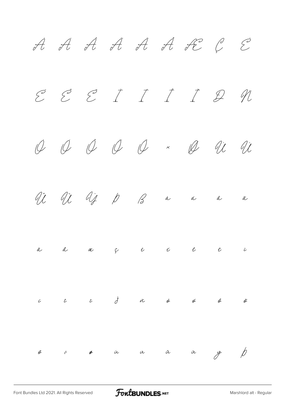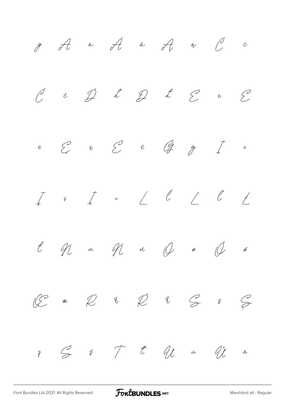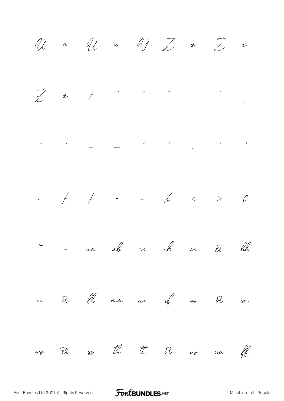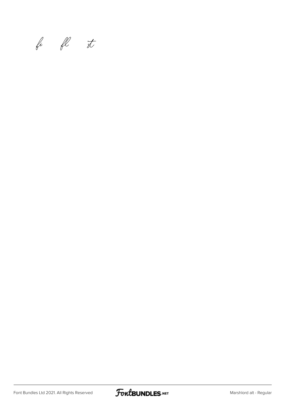fi fl st

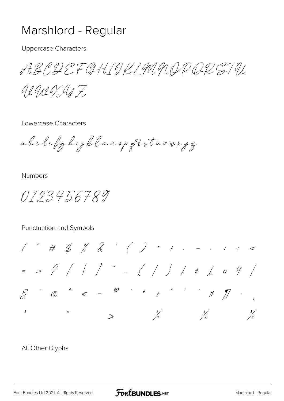### Marshlord - Regular

**Uppercase Characters** 

ABCDEFGHTOK/MMODQRETU

gegner as 7

Lowercase Characters

a le c d e f g h i j k l m n o p g t s t u v w x y z

**Numbers** 

0123456789

#### Punctuation and Symbols

 $1 + 4 + 5 + 8 + 1 + 1 + ...$  $=$  > ? / / /  $=$  { / }  $\frac{1}{2}$   $\neq$  5  $\frac{4}{4}$  $S^1$   $\circledcirc$   $\circledcirc$   $\circledcirc$   $\circledcirc$   $\circledcirc$   $\circledcirc$   $\circledcirc$   $\circledcirc$   $\circledcirc$   $\circledcirc$   $\circledcirc$   $\circledcirc$   $\circledcirc$   $\circledcirc$   $\circledcirc$   $\circledcirc$   $\circledcirc$   $\circledcirc$   $\circledcirc$   $\circledcirc$   $\circledcirc$   $\circledcirc$   $\circledcirc$   $\circledcirc$   $\circledcirc$   $\circledcirc$   $\circledcirc$   $\circledcirc$   $\circledcirc$   $\circledcirc$   $\circledcirc$  $\frac{1}{2}$  $\frac{3}{4}$  $\frac{1}{4}$  $\rightarrow$ 

#### All Other Glyphs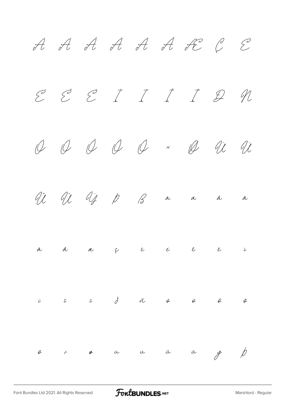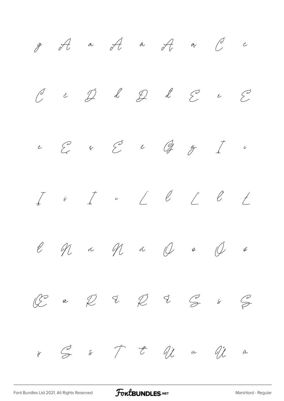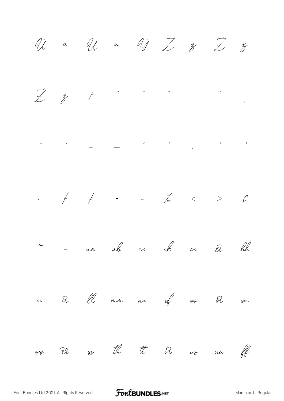Vi a U a Vi I z Z z  $\ddot{z}$   $\ddot{z}$   $f$  $\begin{array}{ccc} \mathbf{v} & \mathbf{v} & \mathbf{v} \\ \mathbf{v} & \mathbf{v} & \mathbf{v} \end{array}$  $\mathbf{u}$ - aa ab cc ck ee et blu Tin of <del>so</del> D on Q Ol mon an  $\ddot{u}$ ou I2 ss th tt in us un ff